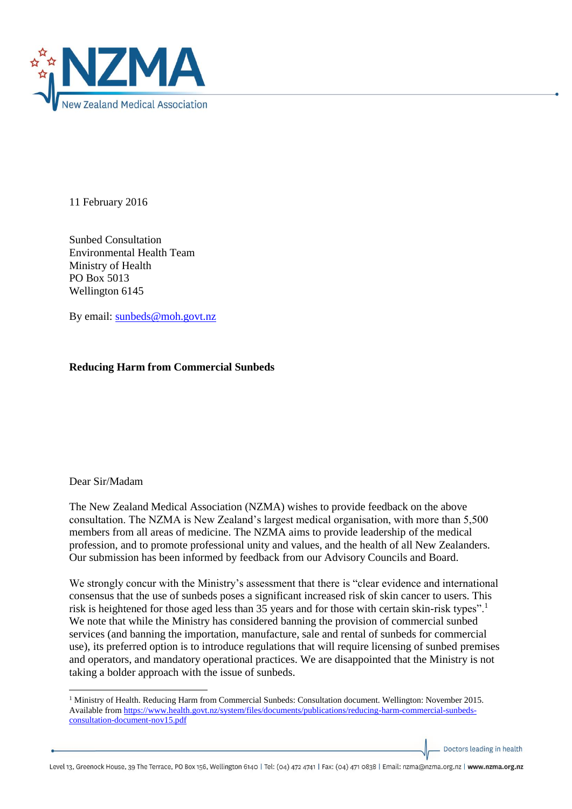

11 February 2016

Sunbed Consultation Environmental Health Team Ministry of Health PO Box 5013 Wellington 6145

By email: [sunbeds@moh.govt.nz](mailto:sunbeds@moh.govt.nz) 

## **Reducing Harm from Commercial Sunbeds**

## Dear Sir/Madam

**.** 

The New Zealand Medical Association (NZMA) wishes to provide feedback on the above consultation. The NZMA is New Zealand's largest medical organisation, with more than 5,500 members from all areas of medicine. The NZMA aims to provide leadership of the medical profession, and to promote professional unity and values, and the health of all New Zealanders. Our submission has been informed by feedback from our Advisory Councils and Board.

We strongly concur with the Ministry's assessment that there is "clear evidence and international consensus that the use of sunbeds poses a significant increased risk of skin cancer to users. This risk is heightened for those aged less than 35 years and for those with certain skin-risk types".<sup>1</sup> We note that while the Ministry has considered banning the provision of commercial sunbed services (and banning the importation, manufacture, sale and rental of sunbeds for commercial use), its preferred option is to introduce regulations that will require licensing of sunbed premises and operators, and mandatory operational practices. We are disappointed that the Ministry is not taking a bolder approach with the issue of sunbeds.

Doctors leading in health

Level 13, Greenock House, 39 The Terrace, PO Box 156, Wellington 6140 | Tel: (04) 472 4741 | Fax: (04) 471 0838 | Email: nzma@nzma.org.nz | www.nzma.org.nz

<sup>1</sup> Ministry of Health. Reducing Harm from Commercial Sunbeds: Consultation document. Wellington: November 2015. Available from [https://www.health.govt.nz/system/files/documents/publications/reducing-harm-commercial-sunbeds](https://www.health.govt.nz/system/files/documents/publications/reducing-harm-commercial-sunbeds-consultation-document-nov15.pdf)[consultation-document-nov15.pdf](https://www.health.govt.nz/system/files/documents/publications/reducing-harm-commercial-sunbeds-consultation-document-nov15.pdf)